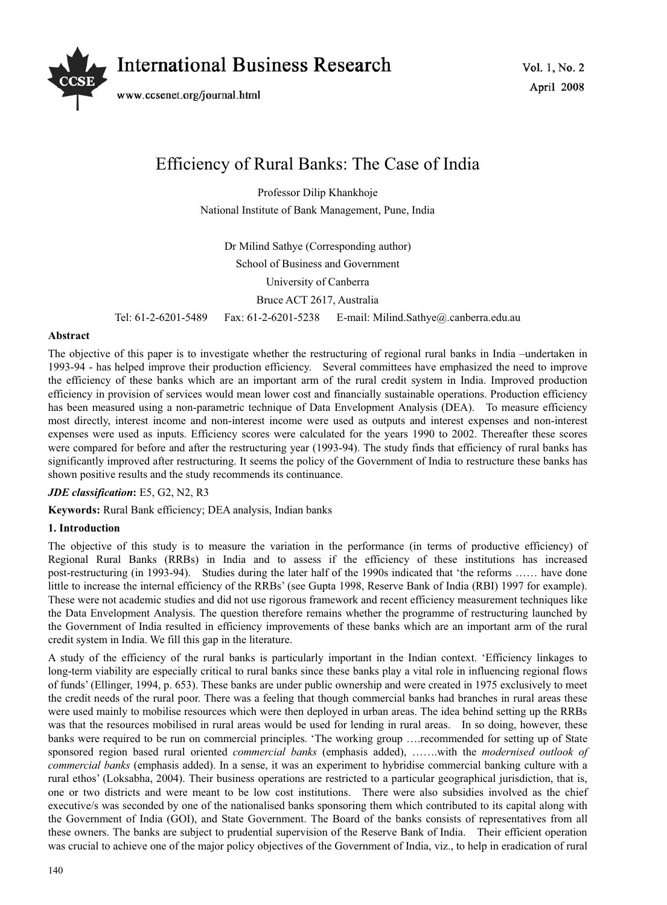

# Efficiency of Rural Banks: The Case of India

Professor Dilip Khankhoje National Institute of Bank Management, Pune, India

Dr Milind Sathye (Corresponding author) School of Business and Government University of Canberra Bruce ACT 2617, Australia

Tel: 61-2-6201-5489 Fax: 61-2-6201-5238 E-mail: Milind.Sathye@.canberra.edu.au

# **Abstract**

The objective of this paper is to investigate whether the restructuring of regional rural banks in India –undertaken in 1993-94 - has helped improve their production efficiency. Several committees have emphasized the need to improve the efficiency of these banks which are an important arm of the rural credit system in India. Improved production efficiency in provision of services would mean lower cost and financially sustainable operations. Production efficiency has been measured using a non-parametric technique of Data Envelopment Analysis (DEA). To measure efficiency most directly, interest income and non-interest income were used as outputs and interest expenses and non-interest expenses were used as inputs. Efficiency scores were calculated for the years 1990 to 2002. Thereafter these scores were compared for before and after the restructuring year (1993-94). The study finds that efficiency of rural banks has significantly improved after restructuring. It seems the policy of the Government of India to restructure these banks has shown positive results and the study recommends its continuance.

*JDE classification***:** E5, G2, N2, R3

**Keywords:** Rural Bank efficiency; DEA analysis, Indian banks

#### **1. Introduction**

The objective of this study is to measure the variation in the performance (in terms of productive efficiency) of Regional Rural Banks (RRBs) in India and to assess if the efficiency of these institutions has increased post-restructuring (in 1993-94). Studies during the later half of the 1990s indicated that 'the reforms …… have done little to increase the internal efficiency of the RRBs' (see Gupta 1998, Reserve Bank of India (RBI) 1997 for example). These were not academic studies and did not use rigorous framework and recent efficiency measurement techniques like the Data Envelopment Analysis. The question therefore remains whether the programme of restructuring launched by the Government of India resulted in efficiency improvements of these banks which are an important arm of the rural credit system in India. We fill this gap in the literature.

A study of the efficiency of the rural banks is particularly important in the Indian context. 'Efficiency linkages to long-term viability are especially critical to rural banks since these banks play a vital role in influencing regional flows of funds' (Ellinger, 1994, p. 653). These banks are under public ownership and were created in 1975 exclusively to meet the credit needs of the rural poor. There was a feeling that though commercial banks had branches in rural areas these were used mainly to mobilise resources which were then deployed in urban areas. The idea behind setting up the RRBs was that the resources mobilised in rural areas would be used for lending in rural areas. In so doing, however, these banks were required to be run on commercial principles. 'The working group ….recommended for setting up of State sponsored region based rural oriented *commercial banks* (emphasis added), …….with the *modernised outlook of commercial banks* (emphasis added). In a sense, it was an experiment to hybridise commercial banking culture with a rural ethos' (Loksabha, 2004). Their business operations are restricted to a particular geographical jurisdiction, that is, one or two districts and were meant to be low cost institutions. There were also subsidies involved as the chief executive/s was seconded by one of the nationalised banks sponsoring them which contributed to its capital along with the Government of India (GOI), and State Government. The Board of the banks consists of representatives from all these owners. The banks are subject to prudential supervision of the Reserve Bank of India. Their efficient operation was crucial to achieve one of the major policy objectives of the Government of India, viz., to help in eradication of rural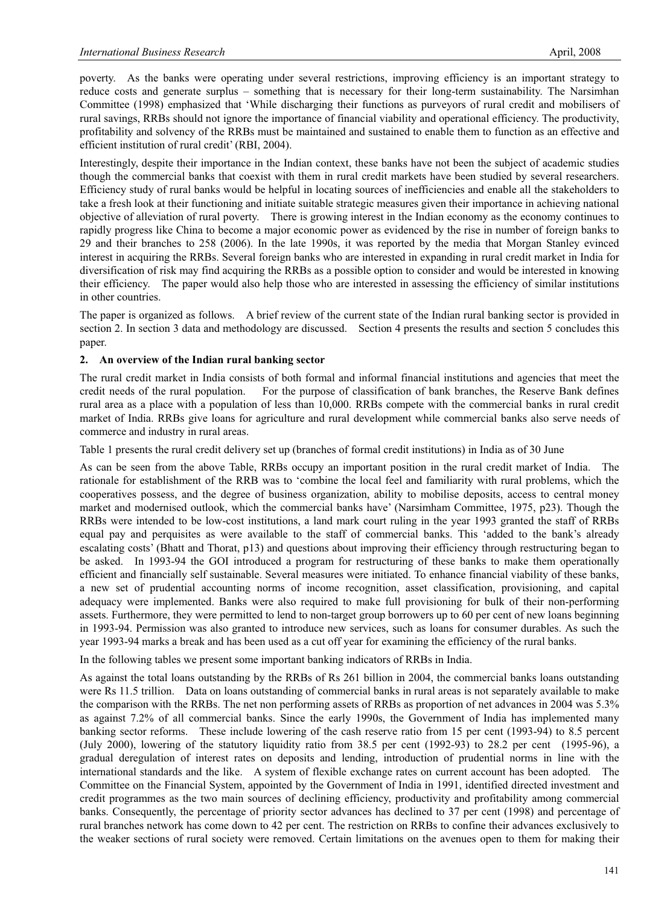poverty. As the banks were operating under several restrictions, improving efficiency is an important strategy to reduce costs and generate surplus – something that is necessary for their long-term sustainability. The Narsimhan Committee (1998) emphasized that 'While discharging their functions as purveyors of rural credit and mobilisers of rural savings, RRBs should not ignore the importance of financial viability and operational efficiency. The productivity, profitability and solvency of the RRBs must be maintained and sustained to enable them to function as an effective and efficient institution of rural credit' (RBI, 2004).

Interestingly, despite their importance in the Indian context, these banks have not been the subject of academic studies though the commercial banks that coexist with them in rural credit markets have been studied by several researchers. Efficiency study of rural banks would be helpful in locating sources of inefficiencies and enable all the stakeholders to take a fresh look at their functioning and initiate suitable strategic measures given their importance in achieving national objective of alleviation of rural poverty. There is growing interest in the Indian economy as the economy continues to rapidly progress like China to become a major economic power as evidenced by the rise in number of foreign banks to 29 and their branches to 258 (2006). In the late 1990s, it was reported by the media that Morgan Stanley evinced interest in acquiring the RRBs. Several foreign banks who are interested in expanding in rural credit market in India for diversification of risk may find acquiring the RRBs as a possible option to consider and would be interested in knowing their efficiency. The paper would also help those who are interested in assessing the efficiency of similar institutions in other countries.

The paper is organized as follows. A brief review of the current state of the Indian rural banking sector is provided in section 2. In section 3 data and methodology are discussed. Section 4 presents the results and section 5 concludes this paper.

# **2. An overview of the Indian rural banking sector**

The rural credit market in India consists of both formal and informal financial institutions and agencies that meet the credit needs of the rural population. For the purpose of classification of bank branches, the Reserve Bank defines rural area as a place with a population of less than 10,000. RRBs compete with the commercial banks in rural credit market of India. RRBs give loans for agriculture and rural development while commercial banks also serve needs of commerce and industry in rural areas.

Table 1 presents the rural credit delivery set up (branches of formal credit institutions) in India as of 30 June

As can be seen from the above Table, RRBs occupy an important position in the rural credit market of India. The rationale for establishment of the RRB was to 'combine the local feel and familiarity with rural problems, which the cooperatives possess, and the degree of business organization, ability to mobilise deposits, access to central money market and modernised outlook, which the commercial banks have' (Narsimham Committee, 1975, p23). Though the RRBs were intended to be low-cost institutions, a land mark court ruling in the year 1993 granted the staff of RRBs equal pay and perquisites as were available to the staff of commercial banks. This 'added to the bank's already escalating costs' (Bhatt and Thorat, p13) and questions about improving their efficiency through restructuring began to be asked. In 1993-94 the GOI introduced a program for restructuring of these banks to make them operationally efficient and financially self sustainable. Several measures were initiated. To enhance financial viability of these banks, a new set of prudential accounting norms of income recognition, asset classification, provisioning, and capital adequacy were implemented. Banks were also required to make full provisioning for bulk of their non-performing assets. Furthermore, they were permitted to lend to non-target group borrowers up to 60 per cent of new loans beginning in 1993-94. Permission was also granted to introduce new services, such as loans for consumer durables. As such the year 1993-94 marks a break and has been used as a cut off year for examining the efficiency of the rural banks.

In the following tables we present some important banking indicators of RRBs in India.

As against the total loans outstanding by the RRBs of Rs 261 billion in 2004, the commercial banks loans outstanding were Rs 11.5 trillion. Data on loans outstanding of commercial banks in rural areas is not separately available to make the comparison with the RRBs. The net non performing assets of RRBs as proportion of net advances in 2004 was 5.3% as against 7.2% of all commercial banks. Since the early 1990s, the Government of India has implemented many banking sector reforms. These include lowering of the cash reserve ratio from 15 per cent (1993-94) to 8.5 percent (July 2000), lowering of the statutory liquidity ratio from 38.5 per cent (1992-93) to 28.2 per cent (1995-96), a gradual deregulation of interest rates on deposits and lending, introduction of prudential norms in line with the international standards and the like. A system of flexible exchange rates on current account has been adopted. The Committee on the Financial System, appointed by the Government of India in 1991, identified directed investment and credit programmes as the two main sources of declining efficiency, productivity and profitability among commercial banks. Consequently, the percentage of priority sector advances has declined to 37 per cent (1998) and percentage of rural branches network has come down to 42 per cent. The restriction on RRBs to confine their advances exclusively to the weaker sections of rural society were removed. Certain limitations on the avenues open to them for making their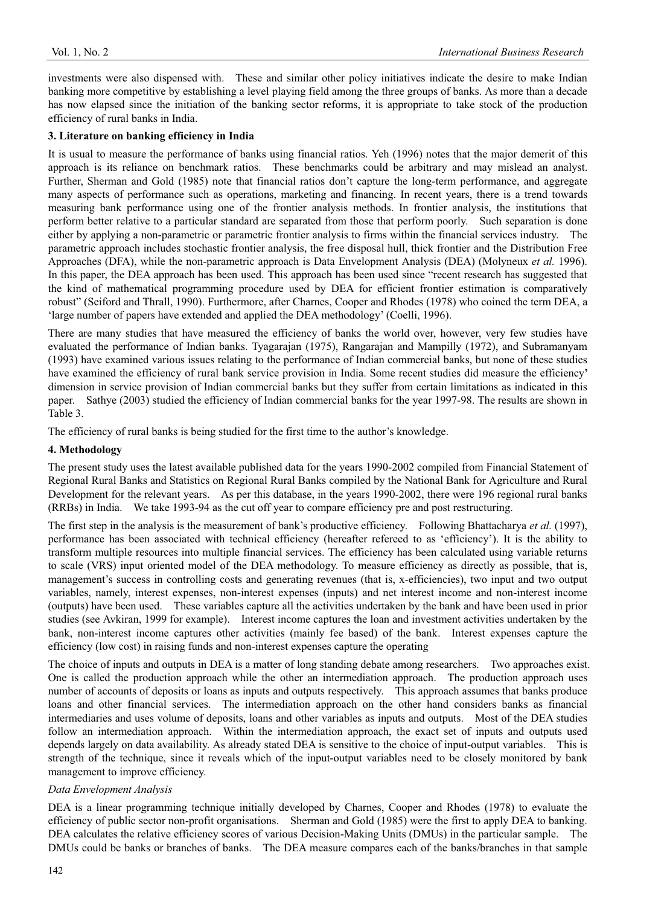investments were also dispensed with. These and similar other policy initiatives indicate the desire to make Indian banking more competitive by establishing a level playing field among the three groups of banks. As more than a decade has now elapsed since the initiation of the banking sector reforms, it is appropriate to take stock of the production efficiency of rural banks in India.

# **3. Literature on banking efficiency in India**

It is usual to measure the performance of banks using financial ratios. Yeh (1996) notes that the major demerit of this approach is its reliance on benchmark ratios. These benchmarks could be arbitrary and may mislead an analyst. Further, Sherman and Gold (1985) note that financial ratios don't capture the long-term performance, and aggregate many aspects of performance such as operations, marketing and financing. In recent years, there is a trend towards measuring bank performance using one of the frontier analysis methods. In frontier analysis, the institutions that perform better relative to a particular standard are separated from those that perform poorly. Such separation is done either by applying a non-parametric or parametric frontier analysis to firms within the financial services industry. The parametric approach includes stochastic frontier analysis, the free disposal hull, thick frontier and the Distribution Free Approaches (DFA), while the non-parametric approach is Data Envelopment Analysis (DEA) (Molyneux *et al.* 1996). In this paper, the DEA approach has been used. This approach has been used since "recent research has suggested that the kind of mathematical programming procedure used by DEA for efficient frontier estimation is comparatively robust" (Seiford and Thrall, 1990). Furthermore, after Charnes, Cooper and Rhodes (1978) who coined the term DEA, a 'large number of papers have extended and applied the DEA methodology' (Coelli, 1996).

There are many studies that have measured the efficiency of banks the world over, however, very few studies have evaluated the performance of Indian banks. Tyagarajan (1975), Rangarajan and Mampilly (1972), and Subramanyam (1993) have examined various issues relating to the performance of Indian commercial banks, but none of these studies have examined the efficiency of rural bank service provision in India. Some recent studies did measure the efficiency**'** dimension in service provision of Indian commercial banks but they suffer from certain limitations as indicated in this paper. Sathye (2003) studied the efficiency of Indian commercial banks for the year 1997-98. The results are shown in Table 3.

The efficiency of rural banks is being studied for the first time to the author's knowledge.

#### **4. Methodology**

The present study uses the latest available published data for the years 1990-2002 compiled from Financial Statement of Regional Rural Banks and Statistics on Regional Rural Banks compiled by the National Bank for Agriculture and Rural Development for the relevant years. As per this database, in the years 1990-2002, there were 196 regional rural banks (RRBs) in India. We take 1993-94 as the cut off year to compare efficiency pre and post restructuring.

The first step in the analysis is the measurement of bank's productive efficiency. Following Bhattacharya *et al.* (1997), performance has been associated with technical efficiency (hereafter refereed to as 'efficiency'). It is the ability to transform multiple resources into multiple financial services. The efficiency has been calculated using variable returns to scale (VRS) input oriented model of the DEA methodology. To measure efficiency as directly as possible, that is, management's success in controlling costs and generating revenues (that is, x-efficiencies), two input and two output variables, namely, interest expenses, non-interest expenses (inputs) and net interest income and non-interest income (outputs) have been used. These variables capture all the activities undertaken by the bank and have been used in prior studies (see Avkiran, 1999 for example). Interest income captures the loan and investment activities undertaken by the bank, non-interest income captures other activities (mainly fee based) of the bank. Interest expenses capture the efficiency (low cost) in raising funds and non-interest expenses capture the operating

The choice of inputs and outputs in DEA is a matter of long standing debate among researchers. Two approaches exist. One is called the production approach while the other an intermediation approach. The production approach uses number of accounts of deposits or loans as inputs and outputs respectively. This approach assumes that banks produce loans and other financial services. The intermediation approach on the other hand considers banks as financial intermediaries and uses volume of deposits, loans and other variables as inputs and outputs. Most of the DEA studies follow an intermediation approach. Within the intermediation approach, the exact set of inputs and outputs used depends largely on data availability. As already stated DEA is sensitive to the choice of input-output variables. This is strength of the technique, since it reveals which of the input-output variables need to be closely monitored by bank management to improve efficiency.

#### *Data Envelopment Analysis*

DEA is a linear programming technique initially developed by Charnes, Cooper and Rhodes (1978) to evaluate the efficiency of public sector non-profit organisations. Sherman and Gold (1985) were the first to apply DEA to banking. DEA calculates the relative efficiency scores of various Decision-Making Units (DMUs) in the particular sample. The DMUs could be banks or branches of banks. The DEA measure compares each of the banks/branches in that sample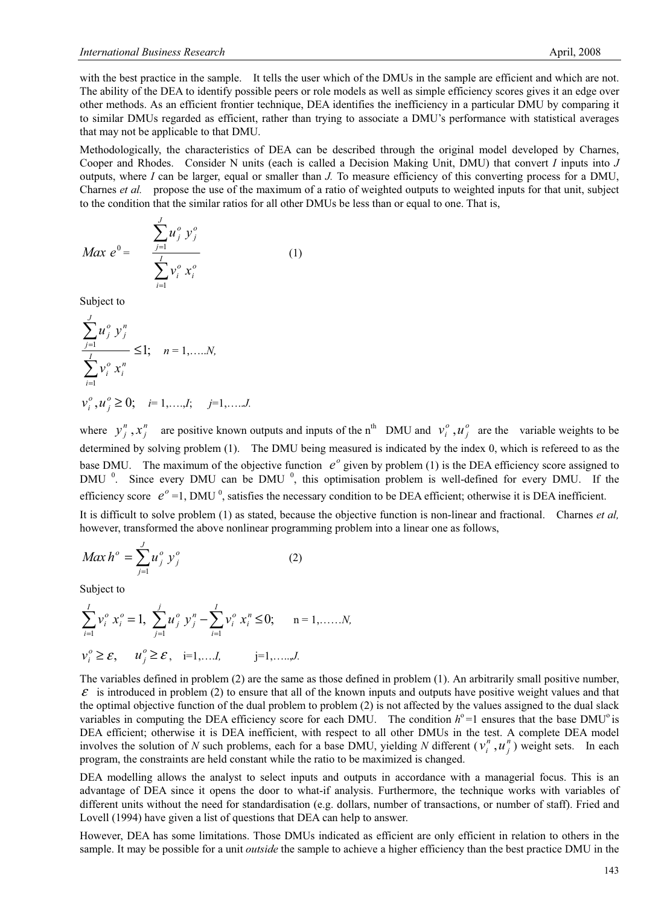with the best practice in the sample. It tells the user which of the DMUs in the sample are efficient and which are not. The ability of the DEA to identify possible peers or role models as well as simple efficiency scores gives it an edge over other methods. As an efficient frontier technique, DEA identifies the inefficiency in a particular DMU by comparing it to similar DMUs regarded as efficient, rather than trying to associate a DMU's performance with statistical averages that may not be applicable to that DMU.

Methodologically, the characteristics of DEA can be described through the original model developed by Charnes, Cooper and Rhodes. Consider N units (each is called a Decision Making Unit, DMU) that convert *I* inputs into *J* outputs, where *I* can be larger, equal or smaller than *J.* To measure efficiency of this converting process for a DMU, Charnes *et al.* propose the use of the maximum of a ratio of weighted outputs to weighted inputs for that unit, subject to the condition that the similar ratios for all other DMUs be less than or equal to one. That is,

$$
Max \, e^{0} = \frac{\sum_{j=1}^{J} u_{j}^{o} \, y_{j}^{o}}{\sum_{i=1}^{I} v_{i}^{o} \, x_{i}^{o}}
$$
 (1)

Subject to

$$
\sum_{j=1}^{J} u_j^o y_j^n
$$
\n
$$
\sum_{i=1}^{J} v_i^o x_i^n \le 1; \quad n = 1, \dots, N,
$$
\n
$$
v_i^o, u_j^o \ge 0; \quad i = 1, \dots, J; \quad j = 1, \dots, J.
$$

where  $y_j^n, x_j^n$  $y_j^n$ ,  $x_j^n$  are positive known outputs and inputs of the n<sup>th</sup> DMU and  $v_i^o$ ,  $u_j^o$  $v_i^o$ ,  $u_j^o$  are the variable weights to be determined by solving problem (1). The DMU being measured is indicated by the index 0, which is refereed to as the base DMU. The maximum of the objective function  $e^{\circ}$  given by problem (1) is the DEA efficiency score assigned to DMU  $^0$ . Since every DMU can be DMU  $^0$ , this optimisation problem is well-defined for every DMU. If the efficiency score  $e^{\circ}$  =1, DMU  $^{0}$ , satisfies the necessary condition to be DEA efficient; otherwise it is DEA inefficient.

It is difficult to solve problem (1) as stated, because the objective function is non-linear and fractional. Charnes *et al,* however, transformed the above nonlinear programming problem into a linear one as follows,

$$
Max \, h^o = \sum_{j=1}^J u^o_j \, y^o_j \tag{2}
$$

Subject to

$$
\sum_{i=1}^{I} v_i^o x_i^o = 1, \sum_{j=1}^{j} u_j^o y_j^o - \sum_{i=1}^{I} v_i^o x_i^o \le 0; \qquad n = 1, \dots, N,
$$
  

$$
v_i^o \ge \varepsilon, \qquad u_j^o \ge \varepsilon, \quad i = 1, \dots, I, \qquad j = 1, \dots, J.
$$

The variables defined in problem (2) are the same as those defined in problem (1). An arbitrarily small positive number,  $\epsilon$  is introduced in problem (2) to ensure that all of the known inputs and outputs have positive weight values and that the optimal objective function of the dual problem to problem (2) is not affected by the values assigned to the dual slack variables in computing the DEA efficiency score for each DMU. The condition  $h^{\circ}=1$  ensures that the base DMU<sup>o</sup> is DEA efficient; otherwise it is DEA inefficient, with respect to all other DMUs in the test. A complete DEA model involves the solution of *N* such problems, each for a base DMU, yielding *N* different ( $v_i^n$ ,  $u_j^n$ )  $v_i^n$ ,  $u_j^n$ ) weight sets. In each program, the constraints are held constant while the ratio to be maximized is changed.

DEA modelling allows the analyst to select inputs and outputs in accordance with a managerial focus. This is an advantage of DEA since it opens the door to what-if analysis. Furthermore, the technique works with variables of different units without the need for standardisation (e.g. dollars, number of transactions, or number of staff). Fried and Lovell (1994) have given a list of questions that DEA can help to answer.

However, DEA has some limitations. Those DMUs indicated as efficient are only efficient in relation to others in the sample. It may be possible for a unit *outside* the sample to achieve a higher efficiency than the best practice DMU in the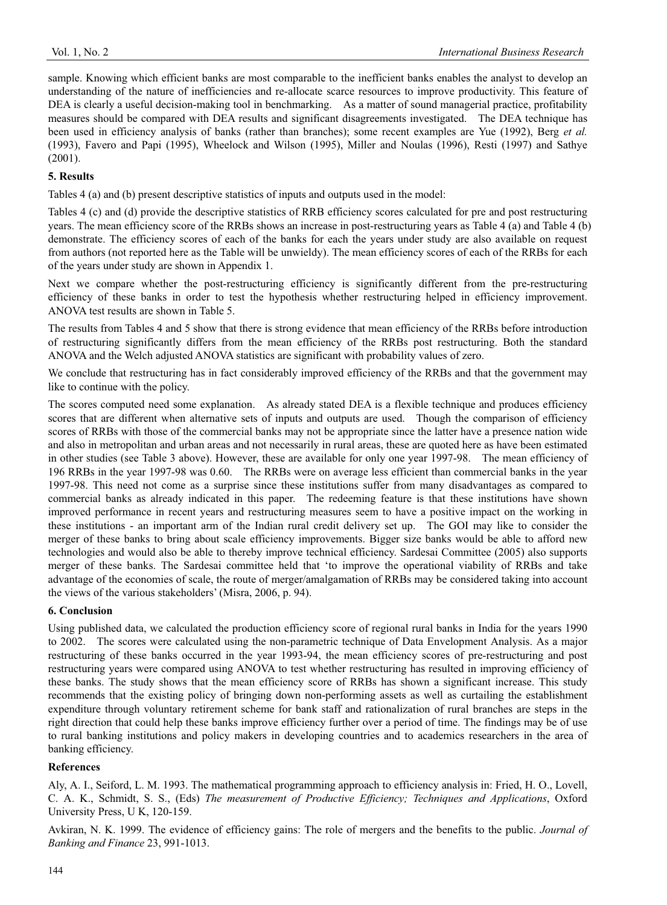sample. Knowing which efficient banks are most comparable to the inefficient banks enables the analyst to develop an understanding of the nature of inefficiencies and re-allocate scarce resources to improve productivity. This feature of DEA is clearly a useful decision-making tool in benchmarking. As a matter of sound managerial practice, profitability measures should be compared with DEA results and significant disagreements investigated. The DEA technique has been used in efficiency analysis of banks (rather than branches); some recent examples are Yue (1992), Berg *et al.* (1993), Favero and Papi (1995), Wheelock and Wilson (1995), Miller and Noulas (1996), Resti (1997) and Sathye (2001).

# **5. Results**

Tables 4 (a) and (b) present descriptive statistics of inputs and outputs used in the model:

Tables 4 (c) and (d) provide the descriptive statistics of RRB efficiency scores calculated for pre and post restructuring years. The mean efficiency score of the RRBs shows an increase in post-restructuring years as Table 4 (a) and Table 4 (b) demonstrate. The efficiency scores of each of the banks for each the years under study are also available on request from authors (not reported here as the Table will be unwieldy). The mean efficiency scores of each of the RRBs for each of the years under study are shown in Appendix 1.

Next we compare whether the post-restructuring efficiency is significantly different from the pre-restructuring efficiency of these banks in order to test the hypothesis whether restructuring helped in efficiency improvement. ANOVA test results are shown in Table 5.

The results from Tables 4 and 5 show that there is strong evidence that mean efficiency of the RRBs before introduction of restructuring significantly differs from the mean efficiency of the RRBs post restructuring. Both the standard ANOVA and the Welch adjusted ANOVA statistics are significant with probability values of zero.

We conclude that restructuring has in fact considerably improved efficiency of the RRBs and that the government may like to continue with the policy.

The scores computed need some explanation. As already stated DEA is a flexible technique and produces efficiency scores that are different when alternative sets of inputs and outputs are used. Though the comparison of efficiency scores of RRBs with those of the commercial banks may not be appropriate since the latter have a presence nation wide and also in metropolitan and urban areas and not necessarily in rural areas, these are quoted here as have been estimated in other studies (see Table 3 above). However, these are available for only one year 1997-98. The mean efficiency of 196 RRBs in the year 1997-98 was 0.60. The RRBs were on average less efficient than commercial banks in the year 1997-98. This need not come as a surprise since these institutions suffer from many disadvantages as compared to commercial banks as already indicated in this paper. The redeeming feature is that these institutions have shown improved performance in recent years and restructuring measures seem to have a positive impact on the working in these institutions - an important arm of the Indian rural credit delivery set up. The GOI may like to consider the merger of these banks to bring about scale efficiency improvements. Bigger size banks would be able to afford new technologies and would also be able to thereby improve technical efficiency. Sardesai Committee (2005) also supports merger of these banks. The Sardesai committee held that 'to improve the operational viability of RRBs and take advantage of the economies of scale, the route of merger/amalgamation of RRBs may be considered taking into account the views of the various stakeholders' (Misra, 2006, p. 94).

# **6. Conclusion**

Using published data, we calculated the production efficiency score of regional rural banks in India for the years 1990 to 2002. The scores were calculated using the non-parametric technique of Data Envelopment Analysis. As a major restructuring of these banks occurred in the year 1993-94, the mean efficiency scores of pre-restructuring and post restructuring years were compared using ANOVA to test whether restructuring has resulted in improving efficiency of these banks. The study shows that the mean efficiency score of RRBs has shown a significant increase. This study recommends that the existing policy of bringing down non-performing assets as well as curtailing the establishment expenditure through voluntary retirement scheme for bank staff and rationalization of rural branches are steps in the right direction that could help these banks improve efficiency further over a period of time. The findings may be of use to rural banking institutions and policy makers in developing countries and to academics researchers in the area of banking efficiency.

#### **References**

Aly, A. I., Seiford, L. M. 1993. The mathematical programming approach to efficiency analysis in: Fried, H. O., Lovell, C. A. K., Schmidt, S. S., (Eds) *The measurement of Productive Efficiency; Techniques and Applications*, Oxford University Press, U K, 120-159.

Avkiran, N. K. 1999. The evidence of efficiency gains: The role of mergers and the benefits to the public. *Journal of Banking and Finance* 23, 991-1013.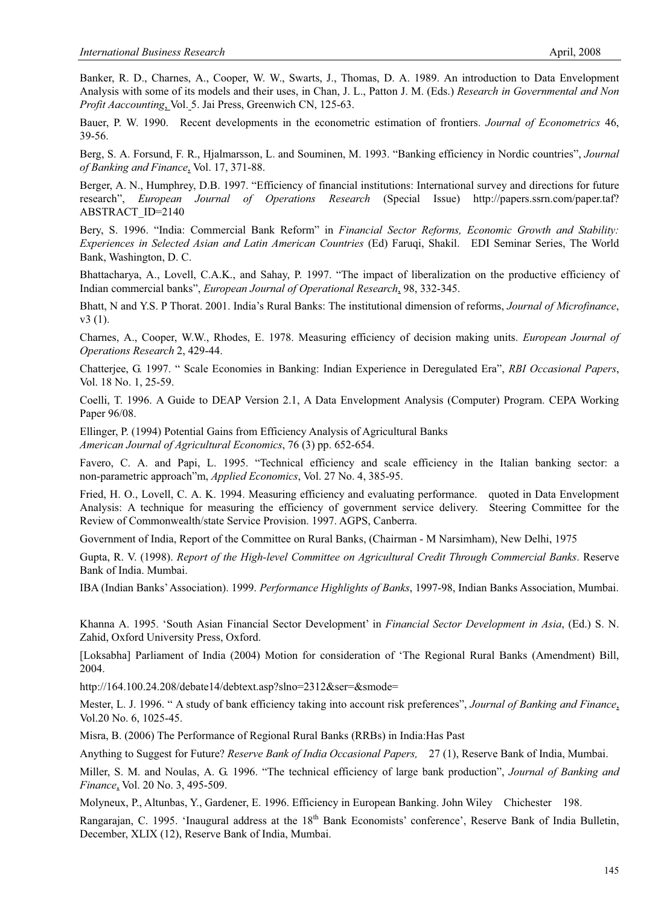Banker, R. D., Charnes, A., Cooper, W. W., Swarts, J., Thomas, D. A. 1989. An introduction to Data Envelopment Analysis with some of its models and their uses, in Chan, J. L., Patton J. M. (Eds.) *Research in Governmental and Non Profit Aaccounting*, Vol. 5. Jai Press, Greenwich CN, 125-63.

Bauer, P. W. 1990. Recent developments in the econometric estimation of frontiers. *Journal of Econometrics* 46, 39-56.

Berg, S. A. Forsund, F. R., Hjalmarsson, L. and Souminen, M. 1993. "Banking efficiency in Nordic countries", *Journal of Banking and Finance*, Vol. 17, 371-88.

Berger, A. N., Humphrey, D.B. 1997. "Efficiency of financial institutions: International survey and directions for future research", *European Journal of Operations Research* (Special Issue) http://papers.ssrn.com/paper.taf? ABSTRACT\_ID=2140

Bery, S. 1996. "India: Commercial Bank Reform" in *Financial Sector Reforms, Economic Growth and Stability: Experiences in Selected Asian and Latin American Countries* (Ed) Faruqi, Shakil. EDI Seminar Series, The World Bank, Washington, D. C.

Bhattacharya, A., Lovell, C.A.K., and Sahay, P. 1997. "The impact of liberalization on the productive efficiency of Indian commercial banks", *European Journal of Operational Research*, 98, 332-345.

Bhatt, N and Y.S. P Thorat. 2001. India's Rural Banks: The institutional dimension of reforms, *Journal of Microfinance*, v3 (1).

Charnes, A., Cooper, W.W., Rhodes, E. 1978. Measuring efficiency of decision making units. *European Journal of Operations Research* 2, 429-44.

Chatterjee, G. 1997. " Scale Economies in Banking: Indian Experience in Deregulated Era", *RBI Occasional Papers*, Vol. 18 No. 1, 25-59.

Coelli, T. 1996. A Guide to DEAP Version 2.1, A Data Envelopment Analysis (Computer) Program. CEPA Working Paper 96/08.

Ellinger, P. (1994) Potential Gains from Efficiency Analysis of Agricultural Banks *American Journal of Agricultural Economics*, 76 (3) pp. 652-654.

Favero, C. A. and Papi, L. 1995. "Technical efficiency and scale efficiency in the Italian banking sector: a non-parametric approach"m, *Applied Economics*, Vol. 27 No. 4, 385-95.

Fried, H. O., Lovell, C. A. K. 1994. Measuring efficiency and evaluating performance. quoted in Data Envelopment Analysis: A technique for measuring the efficiency of government service delivery. Steering Committee for the Review of Commonwealth/state Service Provision. 1997. AGPS, Canberra.

Government of India, Report of the Committee on Rural Banks, (Chairman - M Narsimham), New Delhi, 1975

Gupta, R. V. (1998). *Report of the High-level Committee on Agricultural Credit Through Commercial Banks*. Reserve Bank of India. Mumbai.

IBA (Indian Banks' Association). 1999. *Performance Highlights of Banks*, 1997-98, Indian Banks Association, Mumbai.

Khanna A. 1995. 'South Asian Financial Sector Development' in *Financial Sector Development in Asia*, (Ed.) S. N. Zahid, Oxford University Press, Oxford.

[Loksabha] Parliament of India (2004) Motion for consideration of 'The Regional Rural Banks (Amendment) Bill, 2004.

http://164.100.24.208/debate14/debtext.asp?slno=2312&ser=&smode=

Mester, L. J. 1996. " A study of bank efficiency taking into account risk preferences", *Journal of Banking and Finance*, Vol.20 No. 6, 1025-45.

Misra, B. (2006) The Performance of Regional Rural Banks (RRBs) in India:Has Past

Anything to Suggest for Future? *Reserve Bank of India Occasional Papers,* 27 (1), Reserve Bank of India, Mumbai.

Miller, S. M. and Noulas, A. G. 1996. "The technical efficiency of large bank production", *Journal of Banking and Finance*, Vol. 20 No. 3, 495-509.

Molyneux, P., Altunbas, Y., Gardener, E. 1996. Efficiency in European Banking. John Wiley Chichester 198.

Rangarajan, C. 1995. 'Inaugural address at the 18<sup>th</sup> Bank Economists' conference', Reserve Bank of India Bulletin, December, XLIX (12), Reserve Bank of India, Mumbai.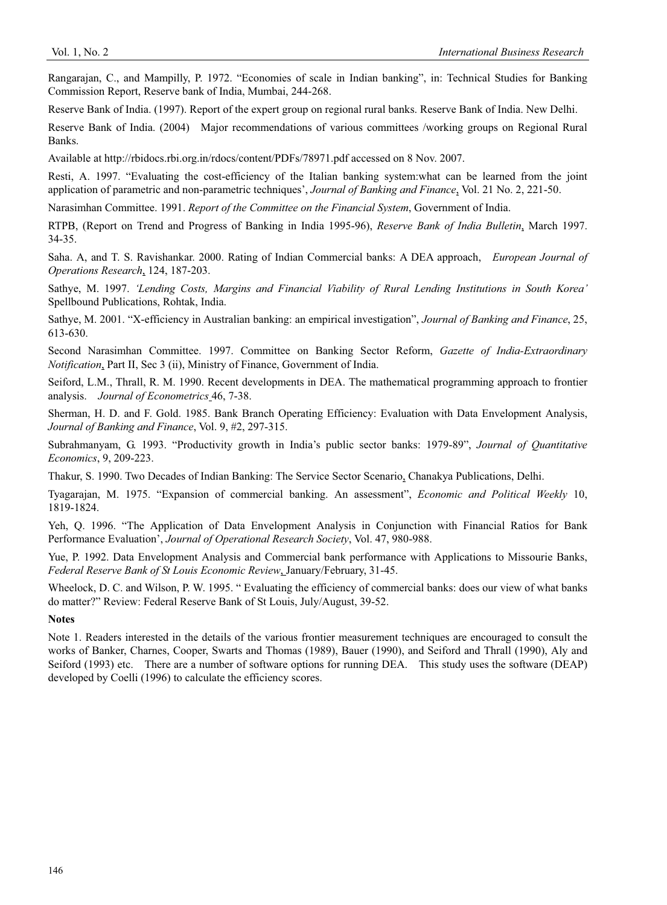Rangarajan, C., and Mampilly, P. 1972. "Economies of scale in Indian banking", in: Technical Studies for Banking Commission Report, Reserve bank of India, Mumbai, 244-268.

Reserve Bank of India. (1997). Report of the expert group on regional rural banks. Reserve Bank of India. New Delhi.

Reserve Bank of India. (2004) Major recommendations of various committees /working groups on Regional Rural Banks.

Available at http://rbidocs.rbi.org.in/rdocs/content/PDFs/78971.pdf accessed on 8 Nov. 2007.

Resti, A. 1997. "Evaluating the cost-efficiency of the Italian banking system:what can be learned from the joint application of parametric and non-parametric techniques', *Journal of Banking and Finance*, Vol. 21 No. 2, 221-50.

Narasimhan Committee. 1991. *Report of the Committee on the Financial System*, Government of India.

RTPB, (Report on Trend and Progress of Banking in India 1995-96), *Reserve Bank of India Bulletin*, March 1997. 34-35.

Saha. A, and T. S. Ravishankar. 2000. Rating of Indian Commercial banks: A DEA approach, *European Journal of Operations Research*, 124, 187-203.

Sathye, M. 1997. *'Lending Costs, Margins and Financial Viability of Rural Lending Institutions in South Korea'* Spellbound Publications, Rohtak, India.

Sathye, M. 2001. "X-efficiency in Australian banking: an empirical investigation", *Journal of Banking and Finance*, 25, 613-630.

Second Narasimhan Committee. 1997. Committee on Banking Sector Reform, *Gazette of India-Extraordinary Notification*, Part II, Sec 3 (ii), Ministry of Finance, Government of India.

Seiford, L.M., Thrall, R. M. 1990. Recent developments in DEA. The mathematical programming approach to frontier analysis. *Journal of Econometrics* 46, 7-38.

Sherman, H. D. and F. Gold. 1985. Bank Branch Operating Efficiency: Evaluation with Data Envelopment Analysis, *Journal of Banking and Finance*, Vol. 9, #2, 297-315.

Subrahmanyam, G. 1993. "Productivity growth in India's public sector banks: 1979-89", *Journal of Quantitative Economics*, 9, 209-223.

Thakur, S. 1990. Two Decades of Indian Banking: The Service Sector Scenario, Chanakya Publications, Delhi.

Tyagarajan, M. 1975. "Expansion of commercial banking. An assessment", *Economic and Political Weekly* 10, 1819-1824.

Yeh, Q. 1996. "The Application of Data Envelopment Analysis in Conjunction with Financial Ratios for Bank Performance Evaluation', *Journal of Operational Research Society*, Vol. 47, 980-988.

Yue, P. 1992. Data Envelopment Analysis and Commercial bank performance with Applications to Missourie Banks, *Federal Reserve Bank of St Louis Economic Review*, January/February, 31-45.

Wheelock, D. C. and Wilson, P. W. 1995. " Evaluating the efficiency of commercial banks: does our view of what banks do matter?" Review: Federal Reserve Bank of St Louis, July/August, 39-52.

# **Notes**

Note 1. Readers interested in the details of the various frontier measurement techniques are encouraged to consult the works of Banker, Charnes, Cooper, Swarts and Thomas (1989), Bauer (1990), and Seiford and Thrall (1990), Aly and Seiford (1993) etc. There are a number of software options for running DEA. This study uses the software (DEAP) developed by Coelli (1996) to calculate the efficiency scores.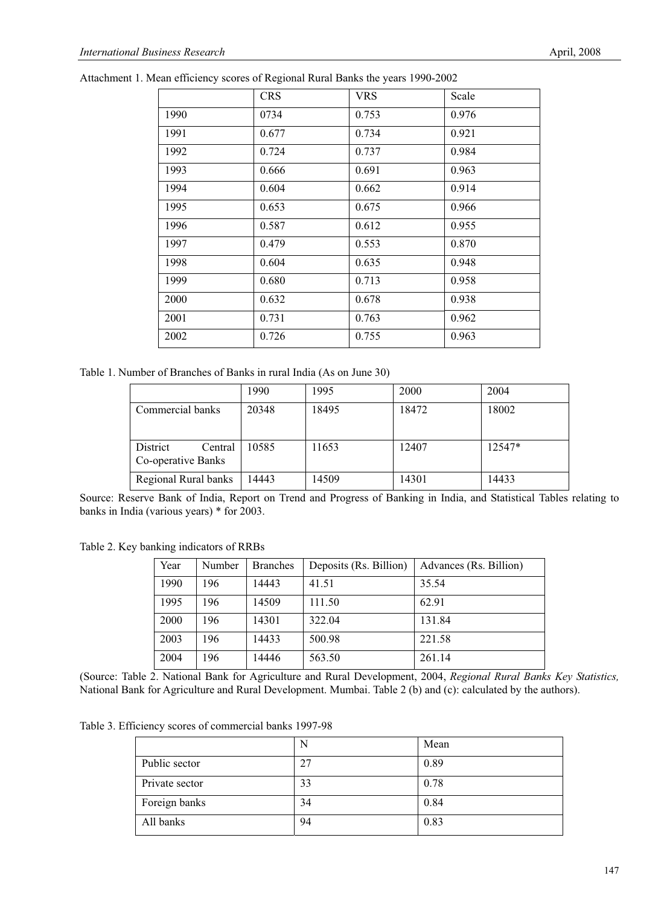Attachment 1. Mean efficiency scores of Regional Rural Banks the years 1990-2002

|      | <b>CRS</b> | <b>VRS</b> | Scale |
|------|------------|------------|-------|
| 1990 | 0734       | 0.753      | 0.976 |
| 1991 | 0.677      | 0.734      | 0.921 |
| 1992 | 0.724      | 0.737      | 0.984 |
| 1993 | 0.666      | 0.691      | 0.963 |
| 1994 | 0.604      | 0.662      | 0.914 |
| 1995 | 0.653      | 0.675      | 0.966 |
| 1996 | 0.587      | 0.612      | 0.955 |
| 1997 | 0.479      | 0.553      | 0.870 |
| 1998 | 0.604      | 0.635      | 0.948 |
| 1999 | 0.680      | 0.713      | 0.958 |
| 2000 | 0.632      | 0.678      | 0.938 |
| 2001 | 0.731      | 0.763      | 0.962 |
| 2002 | 0.726      | 0.755      | 0.963 |

Table 1. Number of Branches of Banks in rural India (As on June 30)

|                                           | 1990  | 1995  | 2000  | 2004   |
|-------------------------------------------|-------|-------|-------|--------|
| Commercial banks                          | 20348 | 18495 | 18472 | 18002  |
| District<br>Central<br>Co-operative Banks | 10585 | 11653 | 12407 | 12547* |
| Regional Rural banks                      | 14443 | 14509 | 14301 | 14433  |

Source: Reserve Bank of India, Report on Trend and Progress of Banking in India, and Statistical Tables relating to banks in India (various years) \* for 2003.

Table 2. Key banking indicators of RRBs

| Year | Number | <b>Branches</b> | Deposits (Rs. Billion) | Advances (Rs. Billion) |
|------|--------|-----------------|------------------------|------------------------|
| 1990 | 196    | 14443           | 41.51                  | 35.54                  |
| 1995 | 196    | 14509           | 111.50                 | 62.91                  |
| 2000 | 196    | 14301           | 322.04                 | 131.84                 |
| 2003 | 196    | 14433           | 500.98                 | 221.58                 |
| 2004 | 96ء    | 14446           | 563.50                 | 261.14                 |

(Source: Table 2. National Bank for Agriculture and Rural Development, 2004, *Regional Rural Banks Key Statistics,* National Bank for Agriculture and Rural Development. Mumbai. Table 2 (b) and (c): calculated by the authors).

Table 3. Efficiency scores of commercial banks 1997-98

|                | N  | Mean |
|----------------|----|------|
| Public sector  | 27 | 0.89 |
| Private sector | 33 | 0.78 |
| Foreign banks  | 34 | 0.84 |
| All banks      | 94 | 0.83 |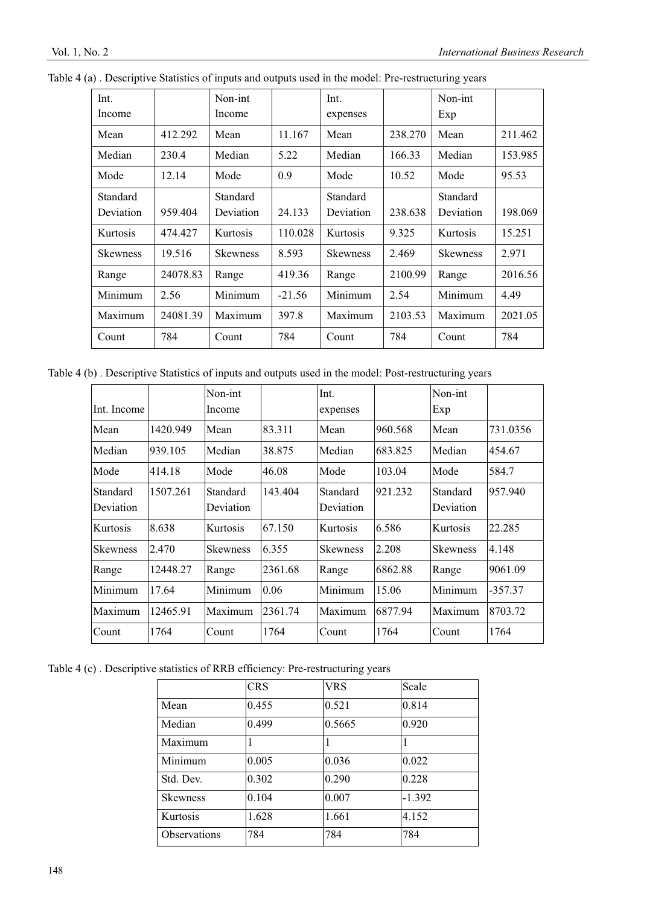| Int.            |          | Non-int         |          | Int.            |         | Non-int         |         |
|-----------------|----------|-----------------|----------|-----------------|---------|-----------------|---------|
| Income          |          | Income          |          | expenses        |         | Exp             |         |
| Mean            | 412.292  | Mean            | 11.167   | Mean            | 238.270 | Mean            | 211.462 |
| Median          | 230.4    | Median          | 5.22     | Median          | 166.33  | Median          | 153.985 |
| Mode            | 12.14    | Mode            | 0.9      | Mode            | 10.52   | Mode            | 95.53   |
| Standard        |          | Standard        |          | Standard        |         | Standard        |         |
| Deviation       | 959.404  | Deviation       | 24.133   | Deviation       | 238.638 | Deviation       | 198.069 |
| Kurtosis        | 474.427  | Kurtosis        | 110.028  | Kurtosis        | 9.325   | Kurtosis        | 15.251  |
| <b>Skewness</b> | 19.516   | <b>Skewness</b> | 8.593    | <b>Skewness</b> | 2.469   | <b>Skewness</b> | 2.971   |
| Range           | 24078.83 | Range           | 419.36   | Range           | 2100.99 | Range           | 2016.56 |
| Minimum         | 2.56     | Minimum         | $-21.56$ | Minimum         | 2.54    | Minimum         | 4.49    |
| Maximum         | 24081.39 | Maximum         | 397.8    | Maximum         | 2103.53 | Maximum         | 2021.05 |
| Count           | 784      | Count           | 784      | Count           | 784     | Count           | 784     |

Table 4 (a) . Descriptive Statistics of inputs and outputs used in the model: Pre-restructuring years

Table 4 (b) . Descriptive Statistics of inputs and outputs used in the model: Post-restructuring years

|                 |          | Non-int         |         | Int.             |         | Non-int         |          |
|-----------------|----------|-----------------|---------|------------------|---------|-----------------|----------|
| Int. Income     |          | Income          |         | expenses         |         | Exp             |          |
| Mean            | 1420.949 | Mean            | 83.311  | Mean             | 960.568 | Mean            | 731.0356 |
| Median          | 939.105  | Median          | 38.875  | Median           | 683.825 | Median          | 454.67   |
| Mode            | 414.18   | Mode            | 46.08   | Mode             | 103.04  | Mode            | 584.7    |
| Standard        | 1507.261 | Standard        | 143.404 | Standard         | 921.232 | Standard        | 957.940  |
| Deviation       |          | Deviation       |         | <b>Deviation</b> |         | Deviation       |          |
| Kurtosis        | 8.638    | Kurtosis        | 67.150  | Kurtosis         | 6.586   | Kurtosis        | 22.285   |
| <b>Skewness</b> | 2.470    | <b>Skewness</b> | 6.355   | <b>Skewness</b>  | 2.208   | <b>Skewness</b> | 4.148    |
| Range           | 12448.27 | Range           | 2361.68 | Range            | 6862.88 | Range           | 9061.09  |
| Minimum         | 17.64    | Minimum         | 0.06    | Minimum          | 15.06   | Minimum         | -357.37  |
| Maximum         | 12465.91 | Maximum         | 2361.74 | Maximum          | 6877.94 | Maximum         | 8703.72  |
| Count           | 1764     | Count           | 1764    | Count            | 1764    | Count           | 1764     |

Table 4 (c) . Descriptive statistics of RRB efficiency: Pre-restructuring years

|                     | <b>CRS</b> | <b>VRS</b> | Scale    |
|---------------------|------------|------------|----------|
| Mean                | 0.455      | 0.521      | 0.814    |
| Median              | 0.499      | 0.5665     | 0.920    |
| Maximum             |            |            |          |
| Minimum             | 0.005      | 0.036      | 0.022    |
| Std. Dev.           | 0.302      | 0.290      | 0.228    |
| <b>Skewness</b>     | 0.104      | 0.007      | $-1.392$ |
| Kurtosis            | 1.628      | 1.661      | 4.152    |
| <b>Observations</b> | 784        | 784        | 784      |